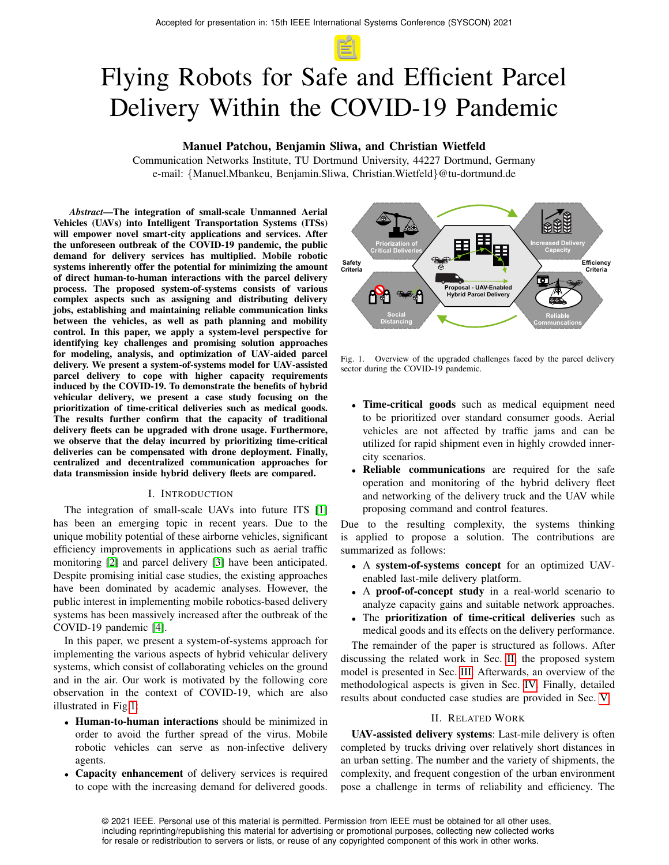# Flying Robots for Safe and Efficient Parcel Delivery Within the COVID-19 Pandemic

## Manuel Patchou, Benjamin Sliwa, and Christian Wietfeld

Communication Networks Institute, TU Dortmund University, 44227 Dortmund, Germany e-mail: {Manuel.Mbankeu, Benjamin.Sliwa, Christian.Wietfeld}@tu-dortmund.de

*Abstract*—The integration of small-scale Unmanned Aerial Vehicles (UAVs) into Intelligent Transportation Systems (ITSs) will empower novel smart-city applications and services. After the unforeseen outbreak of the COVID-19 pandemic, the public demand for delivery services has multiplied. Mobile robotic systems inherently offer the potential for minimizing the amount of direct human-to-human interactions with the parcel delivery process. The proposed system-of-systems consists of various complex aspects such as assigning and distributing delivery jobs, establishing and maintaining reliable communication links between the vehicles, as well as path planning and mobility control. In this paper, we apply a system-level perspective for identifying key challenges and promising solution approaches for modeling, analysis, and optimization of UAV-aided parcel delivery. We present a system-of-systems model for UAV-assisted parcel delivery to cope with higher capacity requirements induced by the COVID-19. To demonstrate the benefits of hybrid vehicular delivery, we present a case study focusing on the prioritization of time-critical deliveries such as medical goods. The results further confirm that the capacity of traditional delivery fleets can be upgraded with drone usage. Furthermore, we observe that the delay incurred by prioritizing time-critical deliveries can be compensated with drone deployment. Finally, centralized and decentralized communication approaches for data transmission inside hybrid delivery fleets are compared.

#### I. INTRODUCTION

The integration of small-scale UAVs into future ITS [\[1\]](#page-5-0) has been an emerging topic in recent years. Due to the unique mobility potential of these airborne vehicles, significant efficiency improvements in applications such as aerial traffic monitoring [\[2\]](#page-5-1) and parcel delivery [\[3\]](#page-5-2) have been anticipated. Despite promising initial case studies, the existing approaches have been dominated by academic analyses. However, the public interest in implementing mobile robotics-based delivery systems has been massively increased after the outbreak of the COVID-19 pandemic [\[4\]](#page-5-3).

In this paper, we present a system-of-systems approach for implementing the various aspects of hybrid vehicular delivery systems, which consist of collaborating vehicles on the ground and in the air. Our work is motivated by the following core observation in the context of COVID-19, which are also illustrated in Fig[.1:](#page-0-0)

- Human-to-human interactions should be minimized in order to avoid the further spread of the virus. Mobile robotic vehicles can serve as non-infective delivery agents.
- Capacity enhancement of delivery services is required to cope with the increasing demand for delivered goods.



<span id="page-0-0"></span>Fig. 1. Overview of the upgraded challenges faced by the parcel delivery sector during the COVID-19 pandemic.

- Time-critical goods such as medical equipment need to be prioritized over standard consumer goods. Aerial vehicles are not affected by traffic jams and can be utilized for rapid shipment even in highly crowded innercity scenarios.
- Reliable communications are required for the safe operation and monitoring of the hybrid delivery fleet and networking of the delivery truck and the UAV while proposing command and control features.

Due to the resulting complexity, the systems thinking is applied to propose a solution. The contributions are summarized as follows:

- A system-of-systems concept for an optimized UAVenabled last-mile delivery platform.
- A proof-of-concept study in a real-world scenario to analyze capacity gains and suitable network approaches.
- The prioritization of time-critical deliveries such as medical goods and its effects on the delivery performance.

The remainder of the paper is structured as follows. After discussing the related work in Sec. [II,](#page-0-1) the proposed system model is presented in Sec. [III.](#page-1-0) Afterwards, an overview of the methodological aspects is given in Sec. [IV.](#page-3-0) Finally, detailed results about conducted case studies are provided in Sec. [V.](#page-4-0)

#### II. RELATED WORK

<span id="page-0-1"></span>UAV-assisted delivery systems: Last-mile delivery is often completed by trucks driving over relatively short distances in an urban setting. The number and the variety of shipments, the complexity, and frequent congestion of the urban environment pose a challenge in terms of reliability and efficiency. The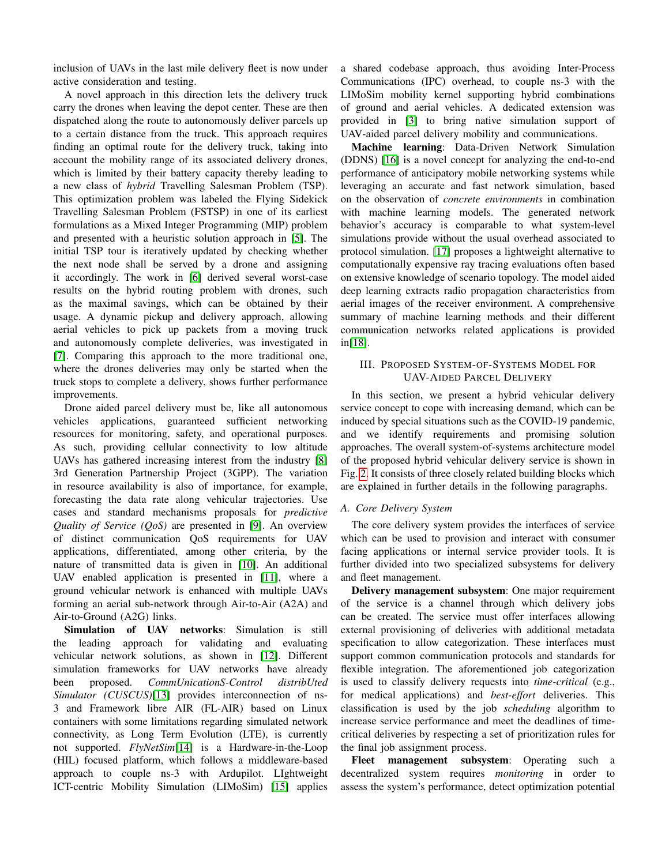inclusion of UAVs in the last mile delivery fleet is now under active consideration and testing.

A novel approach in this direction lets the delivery truck carry the drones when leaving the depot center. These are then dispatched along the route to autonomously deliver parcels up to a certain distance from the truck. This approach requires finding an optimal route for the delivery truck, taking into account the mobility range of its associated delivery drones, which is limited by their battery capacity thereby leading to a new class of *hybrid* Travelling Salesman Problem (TSP). This optimization problem was labeled the Flying Sidekick Travelling Salesman Problem (FSTSP) in one of its earliest formulations as a Mixed Integer Programming (MIP) problem and presented with a heuristic solution approach in [\[5\]](#page-5-4). The initial TSP tour is iteratively updated by checking whether the next node shall be served by a drone and assigning it accordingly. The work in [\[6\]](#page-5-5) derived several worst-case results on the hybrid routing problem with drones, such as the maximal savings, which can be obtained by their usage. A dynamic pickup and delivery approach, allowing aerial vehicles to pick up packets from a moving truck and autonomously complete deliveries, was investigated in [\[7\]](#page-5-6). Comparing this approach to the more traditional one, where the drones deliveries may only be started when the truck stops to complete a delivery, shows further performance improvements.

Drone aided parcel delivery must be, like all autonomous vehicles applications, guaranteed sufficient networking resources for monitoring, safety, and operational purposes. As such, providing cellular connectivity to low altitude UAVs has gathered increasing interest from the industry [\[8\]](#page-5-7) 3rd Generation Partnership Project (3GPP). The variation in resource availability is also of importance, for example, forecasting the data rate along vehicular trajectories. Use cases and standard mechanisms proposals for *predictive Quality of Service (QoS)* are presented in [\[9\]](#page-5-8). An overview of distinct communication QoS requirements for UAV applications, differentiated, among other criteria, by the nature of transmitted data is given in [\[10\]](#page-5-9). An additional UAV enabled application is presented in [\[11\]](#page-5-10), where a ground vehicular network is enhanced with multiple UAVs forming an aerial sub-network through Air-to-Air (A2A) and Air-to-Ground (A2G) links.

Simulation of UAV networks: Simulation is still the leading approach for validating and evaluating vehicular network solutions, as shown in [\[12\]](#page-6-0). Different simulation frameworks for UAV networks have already been proposed. *CommUnicationS-Control distribUted Simulator (CUSCUS)*[\[13\]](#page-6-1) provides interconnection of ns-3 and Framework libre AIR (FL-AIR) based on Linux containers with some limitations regarding simulated network connectivity, as Long Term Evolution (LTE), is currently not supported. *FlyNetSim*[\[14\]](#page-6-2) is a Hardware-in-the-Loop (HIL) focused platform, which follows a middleware-based approach to couple ns-3 with Ardupilot. LIghtweight ICT-centric Mobility Simulation (LIMoSim) [\[15\]](#page-6-3) applies

a shared codebase approach, thus avoiding Inter-Process Communications (IPC) overhead, to couple ns-3 with the LIMoSim mobility kernel supporting hybrid combinations of ground and aerial vehicles. A dedicated extension was provided in [\[3\]](#page-5-2) to bring native simulation support of UAV-aided parcel delivery mobility and communications.

Machine learning: Data-Driven Network Simulation (DDNS) [\[16\]](#page-6-4) is a novel concept for analyzing the end-to-end performance of anticipatory mobile networking systems while leveraging an accurate and fast network simulation, based on the observation of *concrete environments* in combination with machine learning models. The generated network behavior's accuracy is comparable to what system-level simulations provide without the usual overhead associated to protocol simulation. [\[17\]](#page-6-5) proposes a lightweight alternative to computationally expensive ray tracing evaluations often based on extensive knowledge of scenario topology. The model aided deep learning extracts radio propagation characteristics from aerial images of the receiver environment. A comprehensive summary of machine learning methods and their different communication networks related applications is provided in[\[18\]](#page-6-6).

# <span id="page-1-0"></span>III. PROPOSED SYSTEM-OF-SYSTEMS MODEL FOR UAV-AIDED PARCEL DELIVERY

In this section, we present a hybrid vehicular delivery service concept to cope with increasing demand, which can be induced by special situations such as the COVID-19 pandemic, and we identify requirements and promising solution approaches. The overall system-of-systems architecture model of the proposed hybrid vehicular delivery service is shown in Fig. [2.](#page-2-0) It consists of three closely related building blocks which are explained in further details in the following paragraphs.

# *A. Core Delivery System*

The core delivery system provides the interfaces of service which can be used to provision and interact with consumer facing applications or internal service provider tools. It is further divided into two specialized subsystems for delivery and fleet management.

Delivery management subsystem: One major requirement of the service is a channel through which delivery jobs can be created. The service must offer interfaces allowing external provisioning of deliveries with additional metadata specification to allow categorization. These interfaces must support common communication protocols and standards for flexible integration. The aforementioned job categorization is used to classify delivery requests into *time-critical* (e.g., for medical applications) and *best-effort* deliveries. This classification is used by the job *scheduling* algorithm to increase service performance and meet the deadlines of timecritical deliveries by respecting a set of prioritization rules for the final job assignment process.

Fleet management subsystem: Operating such a decentralized system requires *monitoring* in order to assess the system's performance, detect optimization potential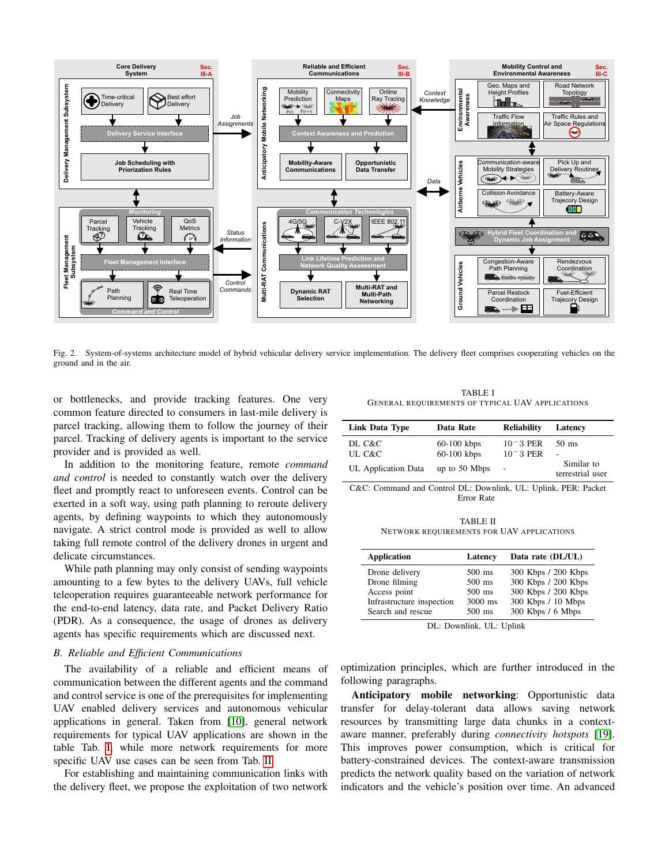

Fig. 2. System-of-systems architecture model of hybrid vehicular delivery service implementation. The delivery fleet comprises cooperating vehicles on the ground and in the air.

or bottlenecks, and provide tracking features. One very common feature directed to consumers in last-mile delivery is parcel tracking, allowing them to follow the journey of their parcel. Tracking of delivery agents is important to the service provider and is provided as well.

In addition to the monitoring feature, remote *command and control* is needed to constantly watch over the delivery fleet and promptly react to unforeseen events. Control can be exerted in a soft way, using path planning to reroute delivery agents, by defining waypoints to which they autonomously navigate. A strict control mode is provided as well to allow taking full remote control of the delivery drones in urgent and delicate circumstances.

While path planning may only consist of sending waypoints amounting to a few bytes to the delivery UAVs, full vehicle teleoperation requires guaranteeable network performance for the end-to-end latency, data rate, and Packet Delivery Ratio (PDR). As a consequence, the usage of drones as delivery agents has specific requirements which are discussed next.

#### <span id="page-2-3"></span>*B. Reliable and Efficient Communications*

The availability of a reliable and efficient means of communication between the different agents and the command and control service is one of the prerequisites for implementing UAV enabled delivery services and autonomous vehicular applications in general. Taken from [\[10\]](#page-5-9), general network requirements for typical UAV applications are shown in the table Tab. [I,](#page-2-1) while more network requirements for more specific UAV use cases can be seen from Tab. [II.](#page-2-2)

For establishing and maintaining communication links with the delivery fleet, we propose the exploitation of two network

<span id="page-2-1"></span><span id="page-2-0"></span>TABLE I GENERAL REQUIREMENTS OF TYPICAL UAV APPLICATIONS

| Link Data Type             | Data Rate                      | <b>Reliability</b>         | Latency                           |
|----------------------------|--------------------------------|----------------------------|-----------------------------------|
| DL C&C<br>UL C&C           | $60-100$ kbps<br>$60-100$ kbps | $10 - 3$ PER<br>$10-3$ PER | 50 ms<br>$\overline{\phantom{a}}$ |
| <b>UL</b> Application Data | up to 50 Mbps                  | $\overline{\phantom{a}}$   | Similar to<br>terrestrial user    |

<span id="page-2-2"></span>C&C: Command and Control DL: Downlink, UL: Uplink, PER: Packet Error Rate

TABLE II NETWORK REQUIREMENTS FOR UAV APPLICATIONS

| <b>Application</b>        | Latency  | Data rate (DL/UL)   |
|---------------------------|----------|---------------------|
| Drone delivery            | 500 ms   | 300 Kbps / 200 Kbps |
| Drone filming             | $500$ ms | 300 Kbps / 200 Kbps |
| Access point              | $500$ ms | 300 Kbps / 200 Kbps |
| Infrastructure inspection | 3000 ms  | 300 Kbps / 10 Mbps  |
| Search and rescue         | $500$ ms | 300 Kbps / 6 Mbps   |

DL: Downlink, UL: Uplink

optimization principles, which are further introduced in the following paragraphs.

Anticipatory mobile networking: Opportunistic data transfer for delay-tolerant data allows saving network resources by transmitting large data chunks in a contextaware manner, preferably during *connectivity hotspots* [\[19\]](#page-6-7). This improves power consumption, which is critical for battery-constrained devices. The context-aware transmission predicts the network quality based on the variation of network indicators and the vehicle's position over time. An advanced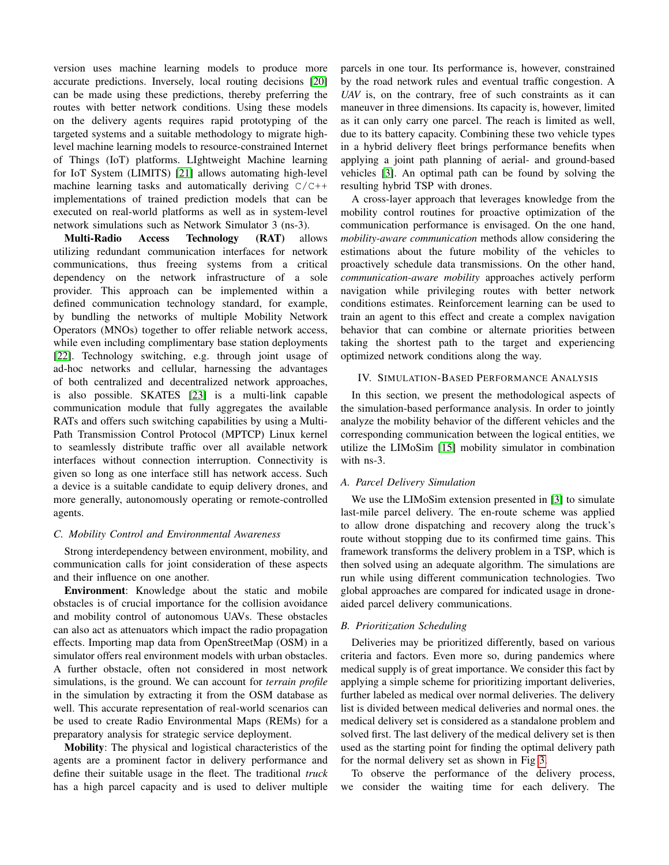version uses machine learning models to produce more accurate predictions. Inversely, local routing decisions [\[20\]](#page-6-8) can be made using these predictions, thereby preferring the routes with better network conditions. Using these models on the delivery agents requires rapid prototyping of the targeted systems and a suitable methodology to migrate highlevel machine learning models to resource-constrained Internet of Things (IoT) platforms. LIghtweight Machine learning for IoT System (LIMITS) [\[21\]](#page-6-9) allows automating high-level machine learning tasks and automatically deriving  $C/C++$ implementations of trained prediction models that can be executed on real-world platforms as well as in system-level network simulations such as Network Simulator 3 (ns-3).

Multi-Radio Access Technology (RAT) allows utilizing redundant communication interfaces for network communications, thus freeing systems from a critical dependency on the network infrastructure of a sole provider. This approach can be implemented within a defined communication technology standard, for example, by bundling the networks of multiple Mobility Network Operators (MNOs) together to offer reliable network access, while even including complimentary base station deployments [\[22\]](#page-6-10). Technology switching, e.g. through joint usage of ad-hoc networks and cellular, harnessing the advantages of both centralized and decentralized network approaches, is also possible. SKATES [\[23\]](#page-6-11) is a multi-link capable communication module that fully aggregates the available RATs and offers such switching capabilities by using a Multi-Path Transmission Control Protocol (MPTCP) Linux kernel to seamlessly distribute traffic over all available network interfaces without connection interruption. Connectivity is given so long as one interface still has network access. Such a device is a suitable candidate to equip delivery drones, and more generally, autonomously operating or remote-controlled agents.

#### *C. Mobility Control and Environmental Awareness*

Strong interdependency between environment, mobility, and communication calls for joint consideration of these aspects and their influence on one another.

Environment: Knowledge about the static and mobile obstacles is of crucial importance for the collision avoidance and mobility control of autonomous UAVs. These obstacles can also act as attenuators which impact the radio propagation effects. Importing map data from OpenStreetMap (OSM) in a simulator offers real environment models with urban obstacles. A further obstacle, often not considered in most network simulations, is the ground. We can account for *terrain profile* in the simulation by extracting it from the OSM database as well. This accurate representation of real-world scenarios can be used to create Radio Environmental Maps (REMs) for a preparatory analysis for strategic service deployment.

Mobility: The physical and logistical characteristics of the agents are a prominent factor in delivery performance and define their suitable usage in the fleet. The traditional *truck* has a high parcel capacity and is used to deliver multiple parcels in one tour. Its performance is, however, constrained by the road network rules and eventual traffic congestion. A *UAV* is, on the contrary, free of such constraints as it can maneuver in three dimensions. Its capacity is, however, limited as it can only carry one parcel. The reach is limited as well, due to its battery capacity. Combining these two vehicle types in a hybrid delivery fleet brings performance benefits when applying a joint path planning of aerial- and ground-based vehicles [\[3\]](#page-5-2). An optimal path can be found by solving the resulting hybrid TSP with drones.

A cross-layer approach that leverages knowledge from the mobility control routines for proactive optimization of the communication performance is envisaged. On the one hand, *mobility-aware communication* methods allow considering the estimations about the future mobility of the vehicles to proactively schedule data transmissions. On the other hand, *communication-aware mobility* approaches actively perform navigation while privileging routes with better network conditions estimates. Reinforcement learning can be used to train an agent to this effect and create a complex navigation behavior that can combine or alternate priorities between taking the shortest path to the target and experiencing optimized network conditions along the way.

#### <span id="page-3-0"></span>IV. SIMULATION-BASED PERFORMANCE ANALYSIS

In this section, we present the methodological aspects of the simulation-based performance analysis. In order to jointly analyze the mobility behavior of the different vehicles and the corresponding communication between the logical entities, we utilize the LIMoSim [\[15\]](#page-6-3) mobility simulator in combination with ns-3.

#### *A. Parcel Delivery Simulation*

We use the LIMoSim extension presented in [\[3\]](#page-5-2) to simulate last-mile parcel delivery. The en-route scheme was applied to allow drone dispatching and recovery along the truck's route without stopping due to its confirmed time gains. This framework transforms the delivery problem in a TSP, which is then solved using an adequate algorithm. The simulations are run while using different communication technologies. Two global approaches are compared for indicated usage in droneaided parcel delivery communications.

## *B. Prioritization Scheduling*

Deliveries may be prioritized differently, based on various criteria and factors. Even more so, during pandemics where medical supply is of great importance. We consider this fact by applying a simple scheme for prioritizing important deliveries, further labeled as medical over normal deliveries. The delivery list is divided between medical deliveries and normal ones. the medical delivery set is considered as a standalone problem and solved first. The last delivery of the medical delivery set is then used as the starting point for finding the optimal delivery path for the normal delivery set as shown in Fig [3.](#page-4-1)

To observe the performance of the delivery process, we consider the waiting time for each delivery. The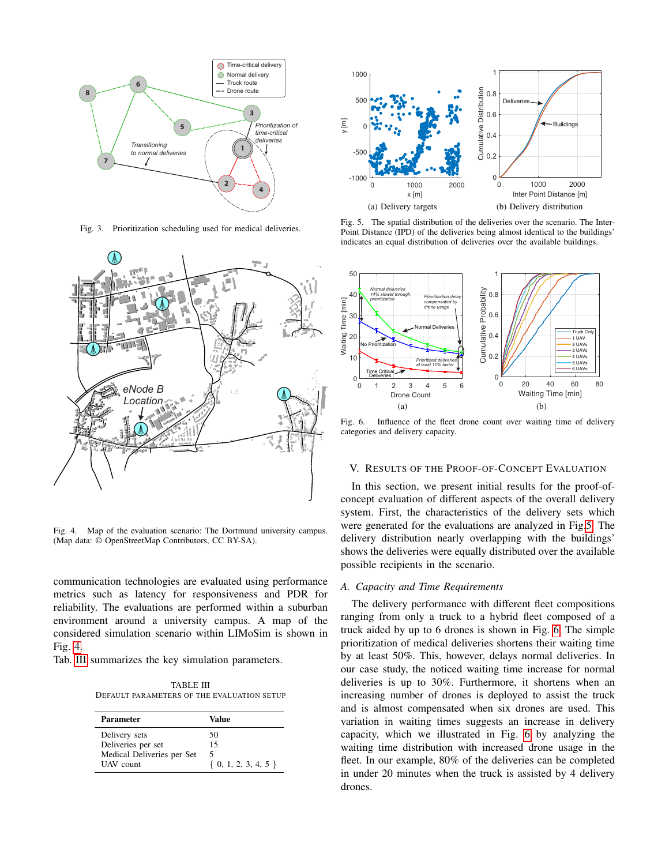

Fig. 3. Prioritization scheduling used for medical deliveries.



<span id="page-4-2"></span>Fig. 4. Map of the evaluation scenario: The Dortmund university campus. (Map data: © OpenStreetMap Contributors, CC BY-SA).

communication technologies are evaluated using performance metrics such as latency for responsiveness and PDR for reliability. The evaluations are performed within a suburban environment around a university campus. A map of the considered simulation scenario within LIMoSim is shown in Fig. [4.](#page-4-2)

<span id="page-4-3"></span>Tab. [III](#page-4-3) summarizes the key simulation parameters.

TABLE III DEFAULT PARAMETERS OF THE EVALUATION SETUP

| Parameter                  | Value                  |
|----------------------------|------------------------|
| Delivery sets              | 50                     |
| Deliveries per set         | 15                     |
| Medical Deliveries per Set |                        |
| UAV count                  | $\{0, 1, 2, 3, 4, 5\}$ |



<span id="page-4-4"></span><span id="page-4-1"></span>Fig. 5. The spatial distribution of the deliveries over the scenario. The Inter-Point Distance (IPD) of the deliveries being almost identical to the buildings' indicates an equal distribution of deliveries over the available buildings.



<span id="page-4-5"></span>Fig. 6. Influence of the fleet drone count over waiting time of delivery categories and delivery capacity.

# <span id="page-4-0"></span>V. RESULTS OF THE PROOF-OF-CONCEPT EVALUATION

In this section, we present initial results for the proof-ofconcept evaluation of different aspects of the overall delivery system. First, the characteristics of the delivery sets which were generated for the evaluations are analyzed in Fig[.5.](#page-4-4) The delivery distribution nearly overlapping with the buildings' shows the deliveries were equally distributed over the available possible recipients in the scenario.

#### *A. Capacity and Time Requirements*

The delivery performance with different fleet compositions ranging from only a truck to a hybrid fleet composed of a truck aided by up to 6 drones is shown in Fig. [6.](#page-4-5) The simple prioritization of medical deliveries shortens their waiting time by at least 50%. This, however, delays normal deliveries. In our case study, the noticed waiting time increase for normal deliveries is up to 30%. Furthermore, it shortens when an increasing number of drones is deployed to assist the truck and is almost compensated when six drones are used. This variation in waiting times suggests an increase in delivery capacity, which we illustrated in Fig. [6](#page-4-5) by analyzing the waiting time distribution with increased drone usage in the fleet. In our example, 80% of the deliveries can be completed in under 20 minutes when the truck is assisted by 4 delivery drones.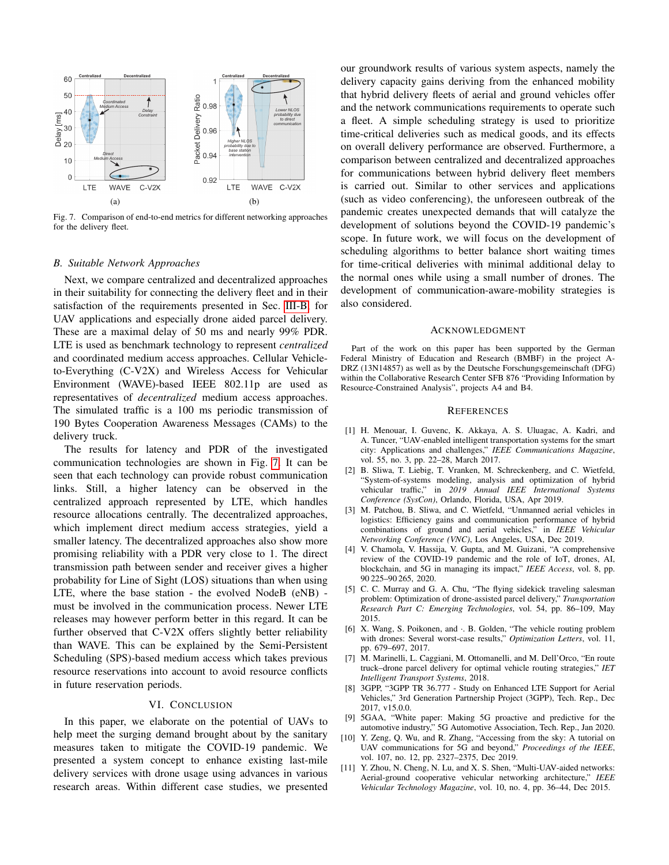

<span id="page-5-11"></span>Fig. 7. Comparison of end-to-end metrics for different networking approaches for the delivery fleet.

#### *B. Suitable Network Approaches*

Next, we compare centralized and decentralized approaches in their suitability for connecting the delivery fleet and in their satisfaction of the requirements presented in Sec. [III-B,](#page-2-3) for UAV applications and especially drone aided parcel delivery. These are a maximal delay of 50 ms and nearly 99% PDR. LTE is used as benchmark technology to represent *centralized* and coordinated medium access approaches. Cellular Vehicleto-Everything (C-V2X) and Wireless Access for Vehicular Environment (WAVE)-based IEEE 802.11p are used as representatives of *decentralized* medium access approaches. The simulated traffic is a 100 ms periodic transmission of 190 Bytes Cooperation Awareness Messages (CAMs) to the delivery truck.

The results for latency and PDR of the investigated communication technologies are shown in Fig. [7.](#page-5-11) It can be seen that each technology can provide robust communication links. Still, a higher latency can be observed in the centralized approach represented by LTE, which handles resource allocations centrally. The decentralized approaches, which implement direct medium access strategies, yield a smaller latency. The decentralized approaches also show more promising reliability with a PDR very close to 1. The direct transmission path between sender and receiver gives a higher probability for Line of Sight (LOS) situations than when using LTE, where the base station - the evolved NodeB (eNB) must be involved in the communication process. Newer LTE releases may however perform better in this regard. It can be further observed that C-V2X offers slightly better reliability than WAVE. This can be explained by the Semi-Persistent Scheduling (SPS)-based medium access which takes previous resource reservations into account to avoid resource conflicts in future reservation periods.

#### VI. CONCLUSION

In this paper, we elaborate on the potential of UAVs to help meet the surging demand brought about by the sanitary measures taken to mitigate the COVID-19 pandemic. We presented a system concept to enhance existing last-mile delivery services with drone usage using advances in various research areas. Within different case studies, we presented

our groundwork results of various system aspects, namely the delivery capacity gains deriving from the enhanced mobility that hybrid delivery fleets of aerial and ground vehicles offer and the network communications requirements to operate such a fleet. A simple scheduling strategy is used to prioritize time-critical deliveries such as medical goods, and its effects on overall delivery performance are observed. Furthermore, a comparison between centralized and decentralized approaches for communications between hybrid delivery fleet members is carried out. Similar to other services and applications (such as video conferencing), the unforeseen outbreak of the pandemic creates unexpected demands that will catalyze the development of solutions beyond the COVID-19 pandemic's scope. In future work, we will focus on the development of scheduling algorithms to better balance short waiting times for time-critical deliveries with minimal additional delay to the normal ones while using a small number of drones. The development of communication-aware-mobility strategies is also considered.

#### **ACKNOWLEDGMENT**

Part of the work on this paper has been supported by the German Federal Ministry of Education and Research (BMBF) in the project A-DRZ (13N14857) as well as by the Deutsche Forschungsgemeinschaft (DFG) within the Collaborative Research Center SFB 876 "Providing Information by Resource-Constrained Analysis", projects A4 and B4.

#### **REFERENCES**

- <span id="page-5-0"></span>[1] H. Menouar, I. Guvenc, K. Akkaya, A. S. Uluagac, A. Kadri, and A. Tuncer, "UAV-enabled intelligent transportation systems for the smart city: Applications and challenges," *IEEE Communications Magazine*, vol. 55, no. 3, pp. 22–28, March 2017.
- <span id="page-5-1"></span>[2] B. Sliwa, T. Liebig, T. Vranken, M. Schreckenberg, and C. Wietfeld, "System-of-systems modeling, analysis and optimization of hybrid vehicular traffic," in *2019 Annual IEEE International Systems Conference (SysCon)*, Orlando, Florida, USA, Apr 2019.
- <span id="page-5-2"></span>[3] M. Patchou, B. Sliwa, and C. Wietfeld, "Unmanned aerial vehicles in logistics: Efficiency gains and communication performance of hybrid combinations of ground and aerial vehicles," in *IEEE Vehicular Networking Conference (VNC)*, Los Angeles, USA, Dec 2019.
- <span id="page-5-3"></span>[4] V. Chamola, V. Hassija, V. Gupta, and M. Guizani, "A comprehensive review of the COVID-19 pandemic and the role of IoT, drones, AI, blockchain, and 5G in managing its impact," *IEEE Access*, vol. 8, pp. 90 225–90 265, 2020.
- <span id="page-5-4"></span>[5] C. C. Murray and G. A. Chu, "The flying sidekick traveling salesman problem: Optimization of drone-assisted parcel delivery," *Transportation Research Part C: Emerging Technologies*, vol. 54, pp. 86–109, May 2015.
- <span id="page-5-5"></span>[6] X. Wang, S. Poikonen, and ·. B. Golden, "The vehicle routing problem with drones: Several worst-case results," *Optimization Letters*, vol. 11, pp. 679–697, 2017.
- <span id="page-5-6"></span>[7] M. Marinelli, L. Caggiani, M. Ottomanelli, and M. Dell'Orco, "En route truck–drone parcel delivery for optimal vehicle routing strategies," *IET Intelligent Transport Systems*, 2018.
- <span id="page-5-7"></span>[8] 3GPP, "3GPP TR 36.777 - Study on Enhanced LTE Support for Aerial Vehicles," 3rd Generation Partnership Project (3GPP), Tech. Rep., Dec 2017, v15.0.0.
- <span id="page-5-8"></span>[9] 5GAA, "White paper: Making 5G proactive and predictive for the automotive industry," 5G Automotive Association, Tech. Rep., Jan 2020.
- <span id="page-5-9"></span>[10] Y. Zeng, Q. Wu, and R. Zhang, "Accessing from the sky: A tutorial on UAV communications for 5G and beyond," *Proceedings of the IEEE*, vol. 107, no. 12, pp. 2327–2375, Dec 2019.
- <span id="page-5-10"></span>[11] Y. Zhou, N. Cheng, N. Lu, and X. S. Shen, "Multi-UAV-aided networks: Aerial-ground cooperative vehicular networking architecture," *IEEE Vehicular Technology Magazine*, vol. 10, no. 4, pp. 36–44, Dec 2015.